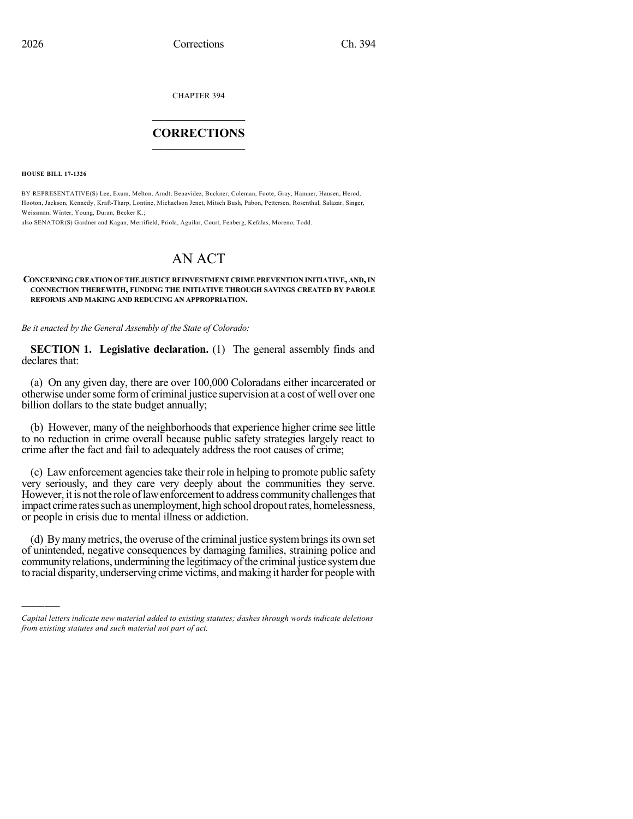CHAPTER 394

# $\mathcal{L}_\text{max}$  . The set of the set of the set of the set of the set of the set of the set of the set of the set of the set of the set of the set of the set of the set of the set of the set of the set of the set of the set **CORRECTIONS**  $\frac{1}{2}$  ,  $\frac{1}{2}$  ,  $\frac{1}{2}$  ,  $\frac{1}{2}$  ,  $\frac{1}{2}$  ,  $\frac{1}{2}$

**HOUSE BILL 17-1326**

)))))

BY REPRESENTATIVE(S) Lee, Exum, Melton, Arndt, Benavidez, Buckner, Coleman, Foote, Gray, Hamner, Hansen, Herod, Hooton, Jackson, Kennedy, Kraft-Tharp, Lontine, Michaelson Jenet, Mitsch Bush, Pabon, Pettersen, Rosenthal, Salazar, Singer, Weissman, Winter, Young, Duran, Becker K.;

also SENATOR(S) Gardner and Kagan, Merrifield, Priola, Aguilar, Court, Fenberg, Kefalas, Moreno, Todd.

# AN ACT

## **CONCERNING CREATION OFTHEJUSTICE REINVESTMENT CRIME PREVENTION INITIATIVE, AND,IN CONNECTION THEREWITH, FUNDING THE INITIATIVE THROUGH SAVINGS CREATED BY PAROLE REFORMS AND MAKING AND REDUCING AN APPROPRIATION.**

*Be it enacted by the General Assembly of the State of Colorado:*

**SECTION 1. Legislative declaration.** (1) The general assembly finds and declares that:

(a) On any given day, there are over 100,000 Coloradans either incarcerated or otherwise undersome formof criminal justice supervision at a cost of well over one billion dollars to the state budget annually;

(b) However, many of the neighborhoods that experience higher crime see little to no reduction in crime overall because public safety strategies largely react to crime after the fact and fail to adequately address the root causes of crime;

(c) Law enforcement agenciestake their role in helping to promote public safety very seriously, and they care very deeply about the communities they serve. However, it is not the role of law enforcement to address community challenges that impact crime rates such as unemployment, high school dropout rates, homelessness, or people in crisis due to mental illness or addiction.

(d) By many metrics, the overuse of the criminal justice system brings its own set of unintended, negative consequences by damaging families, straining police and community relations, undermining the legitimacy of the criminal justice system due to racial disparity, underserving crime victims, and making it harder for people with

*Capital letters indicate new material added to existing statutes; dashes through words indicate deletions from existing statutes and such material not part of act.*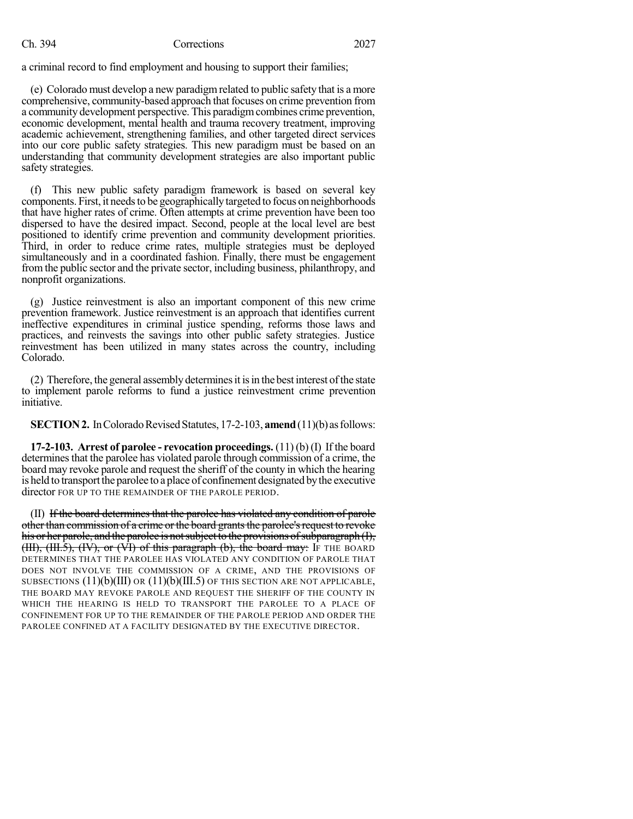# Ch. 394 Corrections 2027

a criminal record to find employment and housing to support their families;

(e) Colorado must develop a new paradigmrelated to public safety that is a more comprehensive, community-based approach that focuses on crime prevention from a community development perspective. This paradigmcombines crime prevention, economic development, mental health and trauma recovery treatment, improving academic achievement, strengthening families, and other targeted direct services into our core public safety strategies. This new paradigm must be based on an understanding that community development strategies are also important public safety strategies.

(f) This new public safety paradigm framework is based on several key components. First, it needsto be geographicallytargeted to focus on neighborhoods that have higher rates of crime. Often attempts at crime prevention have been too dispersed to have the desired impact. Second, people at the local level are best positioned to identify crime prevention and community development priorities. Third, in order to reduce crime rates, multiple strategies must be deployed simultaneously and in a coordinated fashion. Finally, there must be engagement fromthe public sector and the private sector, including business, philanthropy, and nonprofit organizations.

(g) Justice reinvestment is also an important component of this new crime prevention framework. Justice reinvestment is an approach that identifies current ineffective expenditures in criminal justice spending, reforms those laws and practices, and reinvests the savings into other public safety strategies. Justice reinvestment has been utilized in many states across the country, including Colorado.

(2) Therefore, the general assembly determines it is in the best interest of the state to implement parole reforms to fund a justice reinvestment crime prevention initiative.

**SECTION 2.** In Colorado Revised Statutes, 17-2-103, **amend** (11)(b) as follows:

**17-2-103. Arrest of parolee - revocation proceedings.** (11) (b) (I) If the board determines that the parolee has violated parole through commission of a crime, the board may revoke parole and request the sheriff of the county in which the hearing is held to transport the parolee to a place of confinement designated by the executive director FOR UP TO THE REMAINDER OF THE PAROLE PERIOD.

(II) If the board determines that the parolee has violated any condition of parole other than commission of a crime or the board grants the parolee's request to revoke his or her parole, and the parolee is not subject to the provisions of subparagraph  $(I)$ ,  $(HH)$ ,  $(HH.5)$ ,  $(HV)$ , or  $(VH)$  of this paragraph (b), the board may: If THE BOARD DETERMINES THAT THE PAROLEE HAS VIOLATED ANY CONDITION OF PAROLE THAT DOES NOT INVOLVE THE COMMISSION OF A CRIME, AND THE PROVISIONS OF SUBSECTIONS  $(11)(b)(III)$  OR  $(11)(b)(III.5)$  OF THIS SECTION ARE NOT APPLICABLE, THE BOARD MAY REVOKE PAROLE AND REQUEST THE SHERIFF OF THE COUNTY IN WHICH THE HEARING IS HELD TO TRANSPORT THE PAROLEE TO A PLACE OF CONFINEMENT FOR UP TO THE REMAINDER OF THE PAROLE PERIOD AND ORDER THE PAROLEE CONFINED AT A FACILITY DESIGNATED BY THE EXECUTIVE DIRECTOR.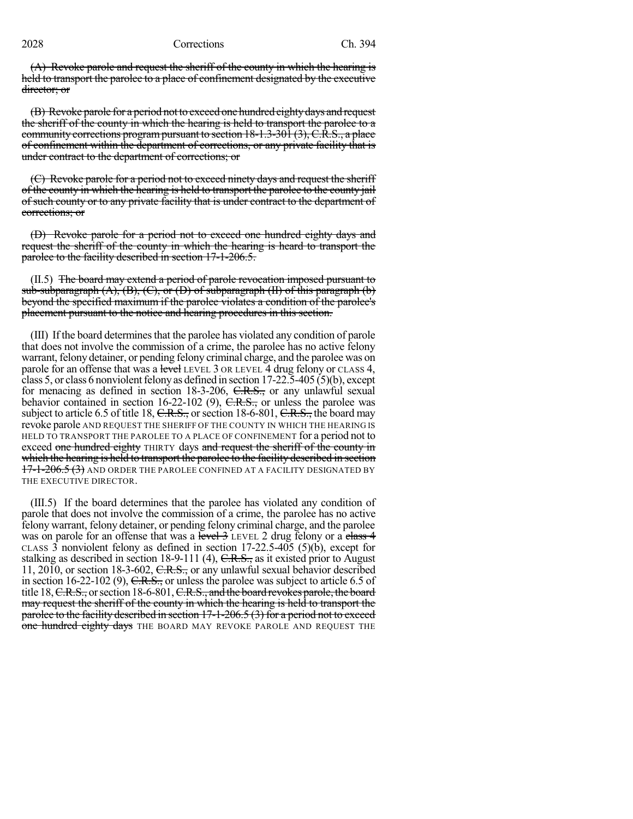(A) Revoke parole and request the sheriff of the county in which the hearing is held to transport the parolee to a place of confinement designated by the executive director; or

(B) Revoke parole for a period not to exceed one hundred eighty days and request the sheriff of the county in which the hearing is held to transport the parolee to a community corrections program pursuant to section 18-1.3-301 (3), C.R.S., a place of confinement within the department of corrections, or any private facility that is under contract to the department of corrections; or

(C) Revoke parole for a period not to exceed ninety days and request the sheriff of the county in which the hearing is held to transport the parolee to the county jail of such county or to any private facility that is under contract to the department of corrections; or

(D) Revoke parole for a period not to exceed one hundred eighty days and request the sheriff of the county in which the hearing is heard to transport the parolee to the facility described in section 17-1-206.5.

(II.5) The board may extend a period of parole revocation imposed pursuant to sub-subparagraph  $(A)$ ,  $(B)$ ,  $(C)$ , or  $(D)$  of subparagraph  $(H)$  of this paragraph  $(b)$ beyond the specified maximum if the parolee violates a condition of the parolee's placement pursuant to the notice and hearing procedures in this section.

(III) If the board determinesthat the parolee has violated any condition of parole that does not involve the commission of a crime, the parolee has no active felony warrant, felony detainer, or pending felony criminal charge, and the parolee was on parole for an offense that was a level LEVEL 3 OR LEVEL 4 drug felony or CLASS 4, class 5, or class 6 nonviolent felony as defined in section  $17-22.5-405(5)(b)$ , except for menacing as defined in section 18-3-206, C.R.S., or any unlawful sexual behavior contained in section 16-22-102 (9), C.R.S., or unless the parolee was subject to article 6.5 of title 18,  $C.R.S.,$  or section 18-6-801,  $C.R.S.,$  the board may revoke parole AND REQUEST THE SHERIFF OF THE COUNTY IN WHICH THE HEARING IS HELD TO TRANSPORT THE PAROLEE TO A PLACE OF CONFINEMENT for a period not to exceed one hundred eighty THIRTY days and request the sheriff of the county in which the hearing is held to transport the parolee to the facility described in section 17-1-206.5 (3) AND ORDER THE PAROLEE CONFINED AT A FACILITY DESIGNATED BY THE EXECUTIVE DIRECTOR.

(III.5) If the board determines that the parolee has violated any condition of parole that does not involve the commission of a crime, the parolee has no active felony warrant, felony detainer, or pending felony criminal charge, and the parolee was on parole for an offense that was a level  $\frac{3}{2}$  LEVEL 2 drug felony or a class  $\frac{4}{3}$ CLASS 3 nonviolent felony as defined in section  $17{\text -}22.5{\text -}405$  (5)(b), except for stalking as described in section 18-9-111 (4),  $C.R.S.,$  as it existed prior to August 11, 2010, or section 18-3-602, C.R.S., or any unlawful sexual behavior described in section  $16-22-102$  (9), C.R.S., or unless the parolee was subject to article 6.5 of title 18, C.R.S., or section 18-6-801, C.R.S., and the board revokes parole, the board may request the sheriff of the county in which the hearing is held to transport the parolee to the facility described in section 17-1-206.5 (3) for a period not to exceed one hundred eighty days THE BOARD MAY REVOKE PAROLE AND REQUEST THE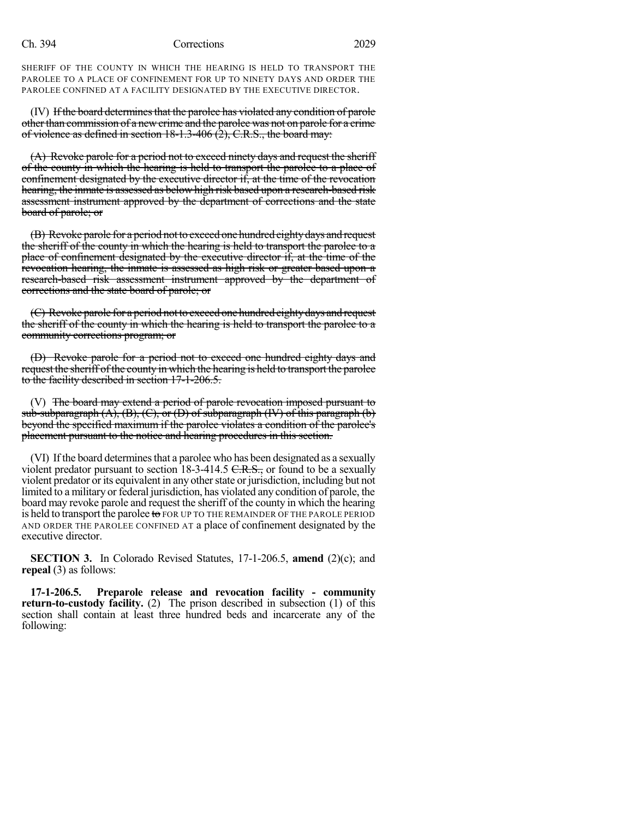### Ch. 394 Corrections 2029

SHERIFF OF THE COUNTY IN WHICH THE HEARING IS HELD TO TRANSPORT THE PAROLEE TO A PLACE OF CONFINEMENT FOR UP TO NINETY DAYS AND ORDER THE PAROLEE CONFINED AT A FACILITY DESIGNATED BY THE EXECUTIVE DIRECTOR.

(IV) If the board determines that the parolee has violated any condition of parole otherthan commission of a newcrime and the parolee was not on parole for a crime of violence as defined in section 18-1.3-406 (2), C.R.S., the board may:

(A) Revoke parole for a period not to exceed ninety days and request the sheriff of the county in which the hearing is held to transport the parolee to a place of confinement designated by the executive director if, at the time of the revocation hearing, the inmate is assessed as below high risk based upon a research-based risk assessment instrument approved by the department of corrections and the state board of parole; or

(B) Revoke parole for a period not to exceed one hundred eighty days and request the sheriff of the county in which the hearing is held to transport the parolee to a place of confinement designated by the executive director if, at the time of the revocation hearing, the inmate is assessed as high risk or greater based upon a research-based risk assessment instrument approved by the department of corrections and the state board of parole; or

(C) Revoke parole for a period not to exceed one hundred eighty days and request the sheriff of the county in which the hearing is held to transport the parolee to a community corrections program; or

(D) Revoke parole for a period not to exceed one hundred eighty days and request the sheriff of the county in which the hearing is held to transport the parolee to the facility described in section 17-1-206.5.

(V) The board may extend a period of parole revocation imposed pursuant to sub-subparagraph  $(A)$ ,  $(B)$ ,  $(C)$ , or  $(D)$  of subparagraph  $(W)$  of this paragraph  $(b)$ beyond the specified maximum if the parolee violates a condition of the parolee's placement pursuant to the notice and hearing procedures in this section.

(VI) If the board determines that a parolee who has been designated as a sexually violent predator pursuant to section  $18-3-414.5 \text{ C.R.S.}$ , or found to be a sexually violent predator or its equivalent in any other state or jurisdiction, including but not limited to a military or federal jurisdiction, has violated any condition of parole, the board may revoke parole and request the sheriff of the county in which the hearing is held to transport the parolee to FOR UP TO THE REMAINDER OF THE PAROLE PERIOD AND ORDER THE PAROLEE CONFINED AT a place of confinement designated by the executive director.

**SECTION 3.** In Colorado Revised Statutes, 17-1-206.5, **amend** (2)(c); and **repeal** (3) as follows:

**17-1-206.5. Preparole release and revocation facility - community return-to-custody facility.** (2) The prison described in subsection (1) of this section shall contain at least three hundred beds and incarcerate any of the following: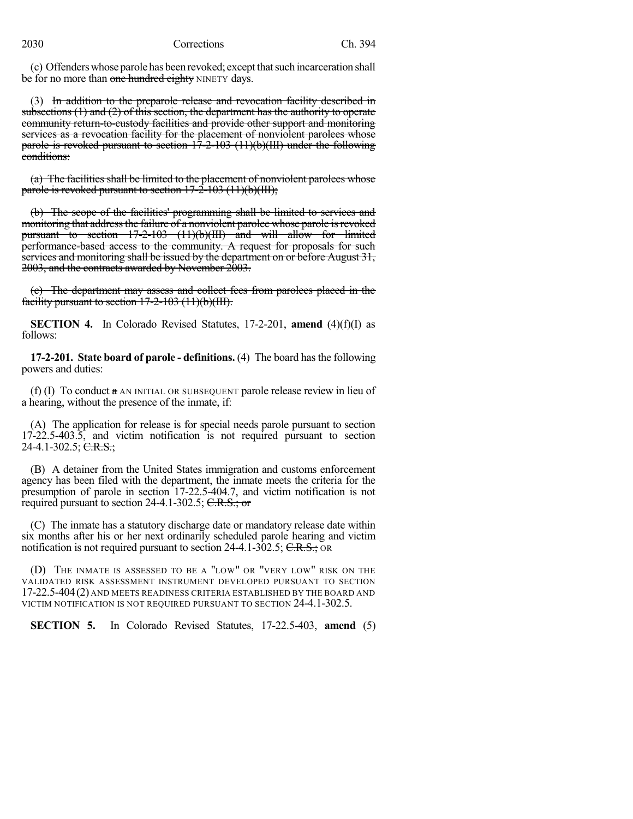(c) Offenderswhoseparolehasbeenrevoked; exceptthatsuch incarceration shall be for no more than one hundred eighty NINETY days.

(3) In addition to the preparole release and revocation facility described in subsections  $(1)$  and  $(2)$  of this section, the department has the authority to operate community return-to-custody facilities and provide other support and monitoring services as a revocation facility for the placement of nonviolent parolees whose parole is revoked pursuant to section  $17-2-103$  (11)(b)(III) under the following conditions:

(a) The facilities shall be limited to the placement of nonviolent parolees whose parole is revoked pursuant to section  $17-2-103$  (11)(b)(III);

(b) The scope of the facilities' programming shall be limited to services and monitoring that address the failure of a nonviolent parolee whose parole is revoked pursuant to section 17-2-103 (11)(b)(III) and will allow for limited performance-based access to the community. A request for proposals for such services and monitoring shall be issued by the department on or before August 31, 2003, and the contracts awarded by November 2003.

(c) The department may assess and collect fees from parolees placed in the facility pursuant to section  $17-2-103$   $(11)(b)(III)$ .

**SECTION 4.** In Colorado Revised Statutes, 17-2-201, **amend** (4)(f)(I) as follows:

**17-2-201. State board of parole - definitions.** (4) The board hasthe following powers and duties:

(f) (I) To conduct  $a$  AN INITIAL OR SUBSEQUENT parole release review in lieu of a hearing, without the presence of the inmate, if:

(A) The application for release is for special needs parole pursuant to section 17-22.5-403.5, and victim notification is not required pursuant to section 24-4.1-302.5;  $C.R.S.$ ;

(B) A detainer from the United States immigration and customs enforcement agency has been filed with the department, the inmate meets the criteria for the presumption of parole in section 17-22.5-404.7, and victim notification is not required pursuant to section 24-4.1-302.5;  $C.R.S.; or$ 

(C) The inmate has a statutory discharge date or mandatory release date within six months after his or her next ordinarily scheduled parole hearing and victim notification is not required pursuant to section 24-4.1-302.5; C.R.S.; OR

(D) THE INMATE IS ASSESSED TO BE A "LOW" OR "VERY LOW" RISK ON THE VALIDATED RISK ASSESSMENT INSTRUMENT DEVELOPED PURSUANT TO SECTION 17-22.5-404(2) AND MEETS READINESS CRITERIA ESTABLISHED BY THE BOARD AND VICTIM NOTIFICATION IS NOT REQUIRED PURSUANT TO SECTION 24-4.1-302.5.

**SECTION 5.** In Colorado Revised Statutes, 17-22.5-403, **amend** (5)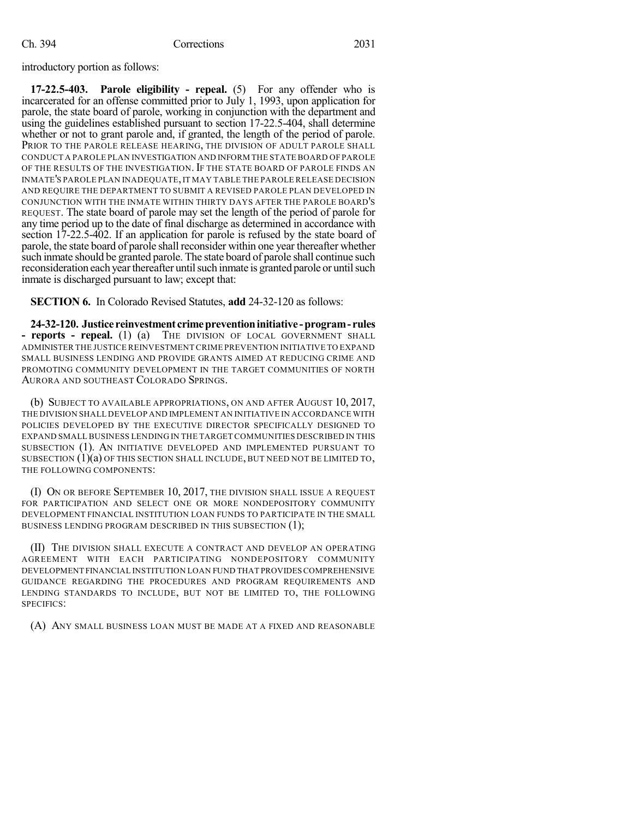introductory portion as follows:

**17-22.5-403. Parole eligibility - repeal.** (5) For any offender who is incarcerated for an offense committed prior to July 1, 1993, upon application for parole, the state board of parole, working in conjunction with the department and using the guidelines established pursuant to section 17-22.5-404, shall determine whether or not to grant parole and, if granted, the length of the period of parole. PRIOR TO THE PAROLE RELEASE HEARING, THE DIVISION OF ADULT PAROLE SHALL CONDUCT A PAROLE PLAN INVESTIGATION AND INFORM THE STATE BOARD OF PAROLE OF THE RESULTS OF THE INVESTIGATION. IF THE STATE BOARD OF PAROLE FINDS AN INMATE'S PAROLE PLAN INADEQUATE,IT MAY TABLE THE PAROLE RELEASE DECISION AND REQUIRE THE DEPARTMENT TO SUBMIT A REVISED PAROLE PLAN DEVELOPED IN CONJUNCTION WITH THE INMATE WITHIN THIRTY DAYS AFTER THE PAROLE BOARD'S REQUEST. The state board of parole may set the length of the period of parole for any time period up to the date of final discharge as determined in accordance with section 17-22.5-402. If an application for parole is refused by the state board of parole, the state board of parole shall reconsider within one year thereafter whether such inmate should be granted parole. The state board of parole shall continue such reconsideration each year thereafter until such inmate is granted parole or until such inmate is discharged pursuant to law; except that:

**SECTION 6.** In Colorado Revised Statutes, **add** 24-32-120 as follows:

**24-32-120. Justice reinvestment crimepreventioninitiative -program- rules - reports - repeal.** (1) (a) THE DIVISION OF LOCAL GOVERNMENT SHALL ADMINISTER THE JUSTICE REINVESTMENT CRIME PREVENTION INITIATIVE TO EXPAND SMALL BUSINESS LENDING AND PROVIDE GRANTS AIMED AT REDUCING CRIME AND PROMOTING COMMUNITY DEVELOPMENT IN THE TARGET COMMUNITIES OF NORTH AURORA AND SOUTHEAST COLORADO SPRINGS.

(b) SUBJECT TO AVAILABLE APPROPRIATIONS, ON AND AFTER AUGUST 10, 2017, THE DIVISION SHALL DEVELOP AND IMPLEMENT AN INITIATIVE IN ACCORDANCE WITH POLICIES DEVELOPED BY THE EXECUTIVE DIRECTOR SPECIFICALLY DESIGNED TO EXPAND SMALL BUSINESS LENDING IN THE TARGET COMMUNITIES DESCRIBED IN THIS SUBSECTION (1). AN INITIATIVE DEVELOPED AND IMPLEMENTED PURSUANT TO SUBSECTION  $(1)(a)$  of this section shall include, but need not be limited to, THE FOLLOWING COMPONENTS:

(I) ON OR BEFORE SEPTEMBER 10, 2017, THE DIVISION SHALL ISSUE A REQUEST FOR PARTICIPATION AND SELECT ONE OR MORE NONDEPOSITORY COMMUNITY DEVELOPMENT FINANCIAL INSTITUTION LOAN FUNDS TO PARTICIPATE IN THE SMALL BUSINESS LENDING PROGRAM DESCRIBED IN THIS SUBSECTION (1);

(II) THE DIVISION SHALL EXECUTE A CONTRACT AND DEVELOP AN OPERATING AGREEMENT WITH EACH PARTICIPATING NONDEPOSITORY COMMUNITY DEVELOPMENT FINANCIAL INSTITUTION LOAN FUND THAT PROVIDESCOMPREHENSIVE GUIDANCE REGARDING THE PROCEDURES AND PROGRAM REQUIREMENTS AND LENDING STANDARDS TO INCLUDE, BUT NOT BE LIMITED TO, THE FOLLOWING SPECIFICS:

(A) ANY SMALL BUSINESS LOAN MUST BE MADE AT A FIXED AND REASONABLE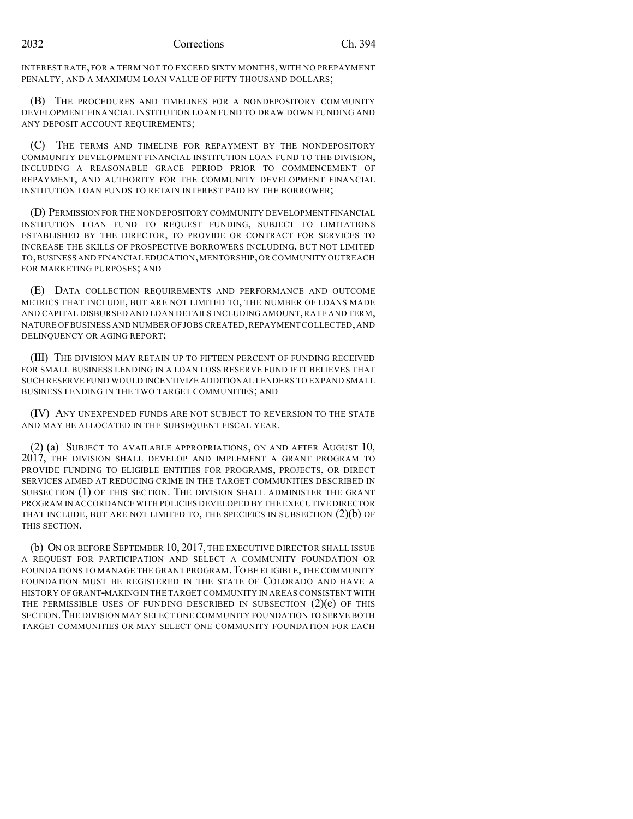INTEREST RATE, FOR A TERM NOT TO EXCEED SIXTY MONTHS, WITH NO PREPAYMENT PENALTY, AND A MAXIMUM LOAN VALUE OF FIFTY THOUSAND DOLLARS;

(B) THE PROCEDURES AND TIMELINES FOR A NONDEPOSITORY COMMUNITY DEVELOPMENT FINANCIAL INSTITUTION LOAN FUND TO DRAW DOWN FUNDING AND ANY DEPOSIT ACCOUNT REQUIREMENTS;

(C) THE TERMS AND TIMELINE FOR REPAYMENT BY THE NONDEPOSITORY COMMUNITY DEVELOPMENT FINANCIAL INSTITUTION LOAN FUND TO THE DIVISION, INCLUDING A REASONABLE GRACE PERIOD PRIOR TO COMMENCEMENT OF REPAYMENT, AND AUTHORITY FOR THE COMMUNITY DEVELOPMENT FINANCIAL INSTITUTION LOAN FUNDS TO RETAIN INTEREST PAID BY THE BORROWER;

(D) PERMISSION FOR THE NONDEPOSITORY COMMUNITY DEVELOPMENT FINANCIAL INSTITUTION LOAN FUND TO REQUEST FUNDING, SUBJECT TO LIMITATIONS ESTABLISHED BY THE DIRECTOR, TO PROVIDE OR CONTRACT FOR SERVICES TO INCREASE THE SKILLS OF PROSPECTIVE BORROWERS INCLUDING, BUT NOT LIMITED TO,BUSINESS AND FINANCIAL EDUCATION,MENTORSHIP,OR COMMUNITY OUTREACH FOR MARKETING PURPOSES; AND

(E) DATA COLLECTION REQUIREMENTS AND PERFORMANCE AND OUTCOME METRICS THAT INCLUDE, BUT ARE NOT LIMITED TO, THE NUMBER OF LOANS MADE AND CAPITAL DISBURSED AND LOAN DETAILS INCLUDING AMOUNT,RATE AND TERM, NATURE OF BUSINESS AND NUMBER OF JOBS CREATED,REPAYMENT COLLECTED,AND DELINQUENCY OR AGING REPORT;

(III) THE DIVISION MAY RETAIN UP TO FIFTEEN PERCENT OF FUNDING RECEIVED FOR SMALL BUSINESS LENDING IN A LOAN LOSS RESERVE FUND IF IT BELIEVES THAT SUCH RESERVE FUND WOULD INCENTIVIZE ADDITIONAL LENDERS TO EXPAND SMALL BUSINESS LENDING IN THE TWO TARGET COMMUNITIES; AND

(IV) ANY UNEXPENDED FUNDS ARE NOT SUBJECT TO REVERSION TO THE STATE AND MAY BE ALLOCATED IN THE SUBSEQUENT FISCAL YEAR.

(2) (a) SUBJECT TO AVAILABLE APPROPRIATIONS, ON AND AFTER AUGUST 10, 2017, THE DIVISION SHALL DEVELOP AND IMPLEMENT A GRANT PROGRAM TO PROVIDE FUNDING TO ELIGIBLE ENTITIES FOR PROGRAMS, PROJECTS, OR DIRECT SERVICES AIMED AT REDUCING CRIME IN THE TARGET COMMUNITIES DESCRIBED IN SUBSECTION (1) OF THIS SECTION. THE DIVISION SHALL ADMINISTER THE GRANT PROGRAM IN ACCORDANCE WITH POLICIES DEVELOPED BY THE EXECUTIVE DIRECTOR THAT INCLUDE, BUT ARE NOT LIMITED TO, THE SPECIFICS IN SUBSECTION  $(2)(b)$  OF THIS SECTION.

(b) ON OR BEFORE SEPTEMBER 10, 2017, THE EXECUTIVE DIRECTOR SHALL ISSUE A REQUEST FOR PARTICIPATION AND SELECT A COMMUNITY FOUNDATION OR FOUNDATIONS TO MANAGE THE GRANT PROGRAM. TO BE ELIGIBLE, THE COMMUNITY FOUNDATION MUST BE REGISTERED IN THE STATE OF COLORADO AND HAVE A HISTORY OFGRANT-MAKINGIN THE TARGET COMMUNITY IN AREAS CONSISTENT WITH THE PERMISSIBLE USES OF FUNDING DESCRIBED IN SUBSECTION  $(2)(e)$  OF THIS SECTION.THE DIVISION MAY SELECT ONE COMMUNITY FOUNDATION TO SERVE BOTH TARGET COMMUNITIES OR MAY SELECT ONE COMMUNITY FOUNDATION FOR EACH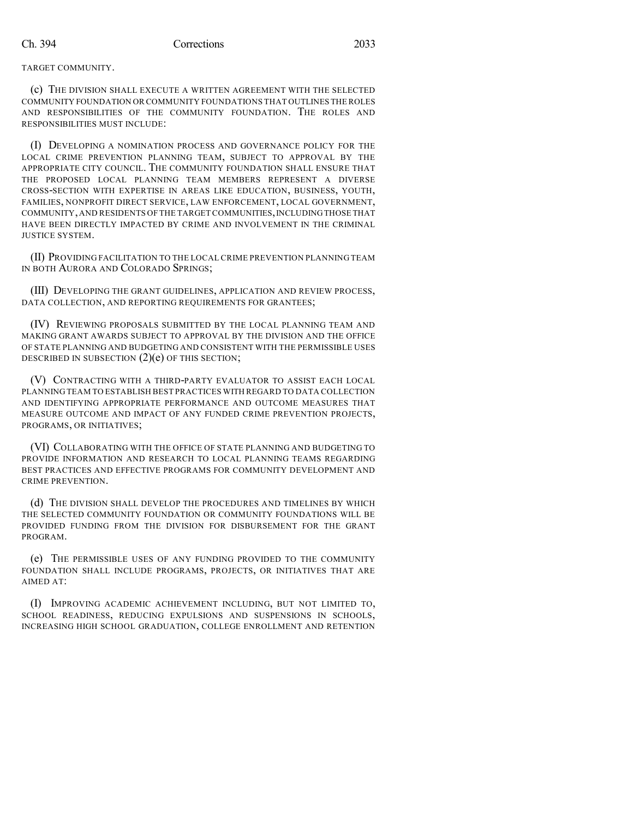TARGET COMMUNITY.

(c) THE DIVISION SHALL EXECUTE A WRITTEN AGREEMENT WITH THE SELECTED COMMUNITY FOUNDATION OR COMMUNITY FOUNDATIONS THAT OUTLINES THE ROLES AND RESPONSIBILITIES OF THE COMMUNITY FOUNDATION. THE ROLES AND RESPONSIBILITIES MUST INCLUDE:

(I) DEVELOPING A NOMINATION PROCESS AND GOVERNANCE POLICY FOR THE LOCAL CRIME PREVENTION PLANNING TEAM, SUBJECT TO APPROVAL BY THE APPROPRIATE CITY COUNCIL. THE COMMUNITY FOUNDATION SHALL ENSURE THAT THE PROPOSED LOCAL PLANNING TEAM MEMBERS REPRESENT A DIVERSE CROSS-SECTION WITH EXPERTISE IN AREAS LIKE EDUCATION, BUSINESS, YOUTH, FAMILIES, NONPROFIT DIRECT SERVICE, LAW ENFORCEMENT, LOCAL GOVERNMENT, COMMUNITY,AND RESIDENTS OF THE TARGET COMMUNITIES,INCLUDINGTHOSE THAT HAVE BEEN DIRECTLY IMPACTED BY CRIME AND INVOLVEMENT IN THE CRIMINAL JUSTICE SYSTEM.

(II) PROVIDING FACILITATION TO THE LOCAL CRIME PREVENTION PLANNING TEAM IN BOTH AURORA AND COLORADO SPRINGS;

(III) DEVELOPING THE GRANT GUIDELINES, APPLICATION AND REVIEW PROCESS, DATA COLLECTION, AND REPORTING REQUIREMENTS FOR GRANTEES;

(IV) REVIEWING PROPOSALS SUBMITTED BY THE LOCAL PLANNING TEAM AND MAKING GRANT AWARDS SUBJECT TO APPROVAL BY THE DIVISION AND THE OFFICE OF STATE PLANNING AND BUDGETING AND CONSISTENT WITH THE PERMISSIBLE USES DESCRIBED IN SUBSECTION  $(2)(e)$  OF THIS SECTION;

(V) CONTRACTING WITH A THIRD-PARTY EVALUATOR TO ASSIST EACH LOCAL PLANNING TEAM TO ESTABLISH BEST PRACTICES WITH REGARD TO DATA COLLECTION AND IDENTIFYING APPROPRIATE PERFORMANCE AND OUTCOME MEASURES THAT MEASURE OUTCOME AND IMPACT OF ANY FUNDED CRIME PREVENTION PROJECTS, PROGRAMS, OR INITIATIVES;

(VI) COLLABORATING WITH THE OFFICE OF STATE PLANNING AND BUDGETING TO PROVIDE INFORMATION AND RESEARCH TO LOCAL PLANNING TEAMS REGARDING BEST PRACTICES AND EFFECTIVE PROGRAMS FOR COMMUNITY DEVELOPMENT AND CRIME PREVENTION.

(d) THE DIVISION SHALL DEVELOP THE PROCEDURES AND TIMELINES BY WHICH THE SELECTED COMMUNITY FOUNDATION OR COMMUNITY FOUNDATIONS WILL BE PROVIDED FUNDING FROM THE DIVISION FOR DISBURSEMENT FOR THE GRANT PROGRAM.

(e) THE PERMISSIBLE USES OF ANY FUNDING PROVIDED TO THE COMMUNITY FOUNDATION SHALL INCLUDE PROGRAMS, PROJECTS, OR INITIATIVES THAT ARE AIMED AT:

(I) IMPROVING ACADEMIC ACHIEVEMENT INCLUDING, BUT NOT LIMITED TO, SCHOOL READINESS, REDUCING EXPULSIONS AND SUSPENSIONS IN SCHOOLS, INCREASING HIGH SCHOOL GRADUATION, COLLEGE ENROLLMENT AND RETENTION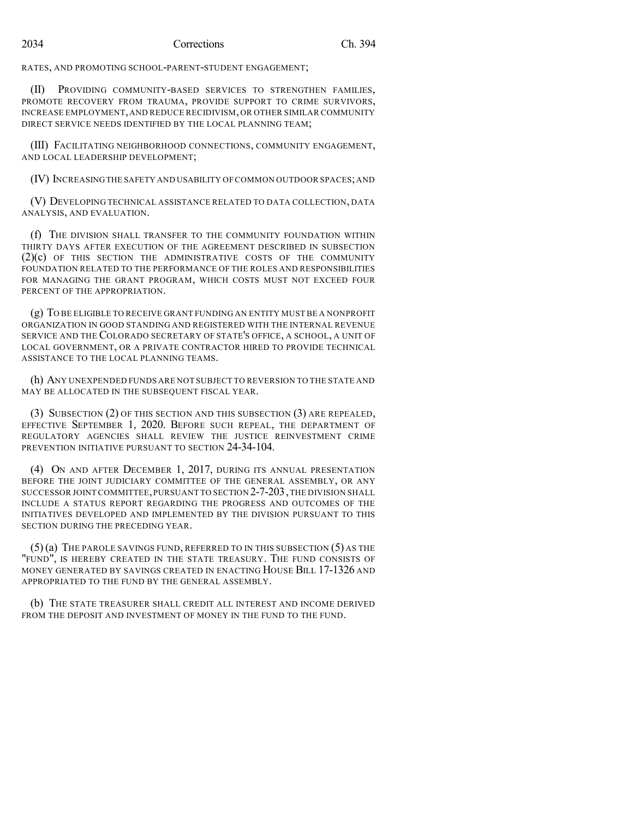RATES, AND PROMOTING SCHOOL-PARENT-STUDENT ENGAGEMENT;

(II) PROVIDING COMMUNITY-BASED SERVICES TO STRENGTHEN FAMILIES, PROMOTE RECOVERY FROM TRAUMA, PROVIDE SUPPORT TO CRIME SURVIVORS, INCREASE EMPLOYMENT,AND REDUCE RECIDIVISM, OR OTHER SIMILAR COMMUNITY DIRECT SERVICE NEEDS IDENTIFIED BY THE LOCAL PLANNING TEAM;

(III) FACILITATING NEIGHBORHOOD CONNECTIONS, COMMUNITY ENGAGEMENT, AND LOCAL LEADERSHIP DEVELOPMENT;

(IV) INCREASINGTHE SAFETY AND USABILITY OF COMMON OUTDOOR SPACES;AND

(V) DEVELOPING TECHNICAL ASSISTANCE RELATED TO DATA COLLECTION, DATA ANALYSIS, AND EVALUATION.

(f) THE DIVISION SHALL TRANSFER TO THE COMMUNITY FOUNDATION WITHIN THIRTY DAYS AFTER EXECUTION OF THE AGREEMENT DESCRIBED IN SUBSECTION (2)(c) OF THIS SECTION THE ADMINISTRATIVE COSTS OF THE COMMUNITY FOUNDATION RELATED TO THE PERFORMANCE OF THE ROLES AND RESPONSIBILITIES FOR MANAGING THE GRANT PROGRAM, WHICH COSTS MUST NOT EXCEED FOUR PERCENT OF THE APPROPRIATION.

(g) TO BE ELIGIBLE TO RECEIVE GRANT FUNDING AN ENTITY MUST BE A NONPROFIT ORGANIZATION IN GOOD STANDING AND REGISTERED WITH THE INTERNAL REVENUE SERVICE AND THE COLORADO SECRETARY OF STATE'S OFFICE, A SCHOOL, A UNIT OF LOCAL GOVERNMENT, OR A PRIVATE CONTRACTOR HIRED TO PROVIDE TECHNICAL ASSISTANCE TO THE LOCAL PLANNING TEAMS.

(h) ANY UNEXPENDED FUNDS ARE NOT SUBJECT TO REVERSION TO THE STATE AND MAY BE ALLOCATED IN THE SUBSEQUENT FISCAL YEAR.

(3) SUBSECTION (2) OF THIS SECTION AND THIS SUBSECTION (3) ARE REPEALED, EFFECTIVE SEPTEMBER 1, 2020. BEFORE SUCH REPEAL, THE DEPARTMENT OF REGULATORY AGENCIES SHALL REVIEW THE JUSTICE REINVESTMENT CRIME PREVENTION INITIATIVE PURSUANT TO SECTION 24-34-104.

(4) ON AND AFTER DECEMBER 1, 2017, DURING ITS ANNUAL PRESENTATION BEFORE THE JOINT JUDICIARY COMMITTEE OF THE GENERAL ASSEMBLY, OR ANY SUCCESSOR JOINT COMMITTEE, PURSUANT TO SECTION 2-7-203, THE DIVISION SHALL INCLUDE A STATUS REPORT REGARDING THE PROGRESS AND OUTCOMES OF THE INITIATIVES DEVELOPED AND IMPLEMENTED BY THE DIVISION PURSUANT TO THIS SECTION DURING THE PRECEDING YEAR.

(5) (a) THE PAROLE SAVINGS FUND, REFERRED TO IN THIS SUBSECTION (5) AS THE "FUND", IS HEREBY CREATED IN THE STATE TREASURY. THE FUND CONSISTS OF MONEY GENERATED BY SAVINGS CREATED IN ENACTING HOUSE BILL 17-1326 AND APPROPRIATED TO THE FUND BY THE GENERAL ASSEMBLY.

(b) THE STATE TREASURER SHALL CREDIT ALL INTEREST AND INCOME DERIVED FROM THE DEPOSIT AND INVESTMENT OF MONEY IN THE FUND TO THE FUND.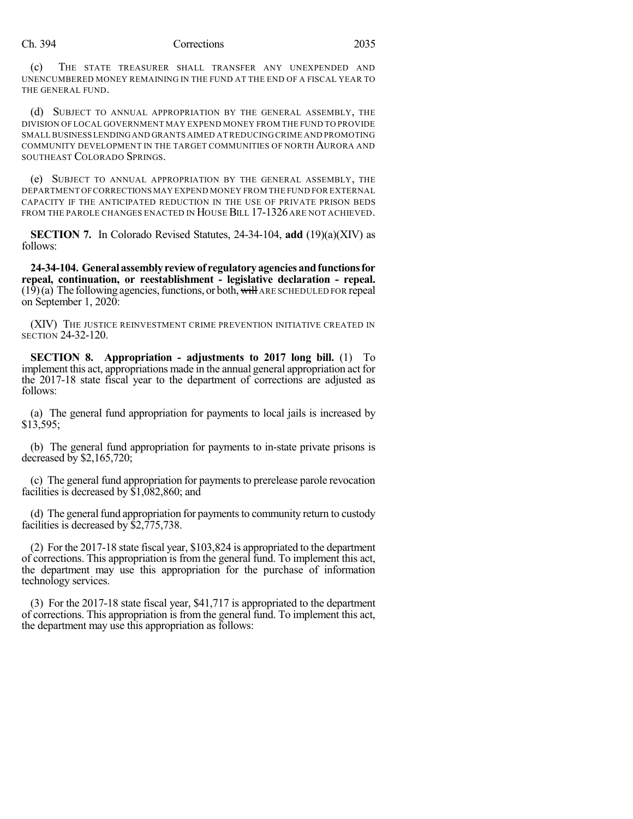### Ch. 394 Corrections 2035

(c) THE STATE TREASURER SHALL TRANSFER ANY UNEXPENDED AND UNENCUMBERED MONEY REMAINING IN THE FUND AT THE END OF A FISCAL YEAR TO THE GENERAL FUND.

(d) SUBJECT TO ANNUAL APPROPRIATION BY THE GENERAL ASSEMBLY, THE DIVISION OF LOCAL GOVERNMENT MAY EXPEND MONEY FROM THE FUND TO PROVIDE SMALL BUSINESS LENDINGAND GRANTS AIMED ATREDUCING CRIME AND PROMOTING COMMUNITY DEVELOPMENT IN THE TARGET COMMUNITIES OF NORTH AURORA AND SOUTHEAST COLORADO SPRINGS.

(e) SUBJECT TO ANNUAL APPROPRIATION BY THE GENERAL ASSEMBLY, THE DEPARTMENT OFCORRECTIONS MAY EXPEND MONEY FROM THE FUND FOR EXTERNAL CAPACITY IF THE ANTICIPATED REDUCTION IN THE USE OF PRIVATE PRISON BEDS FROM THE PAROLE CHANGES ENACTED IN HOUSE BILL 17-1326 ARE NOT ACHIEVED.

**SECTION 7.** In Colorado Revised Statutes, 24-34-104, **add** (19)(a)(XIV) as follows:

**24-34-104. Generalassemblyreviewof regulatoryagenciesandfunctionsfor repeal, continuation, or reestablishment - legislative declaration - repeal.**  $(19)(a)$  The following agencies, functions, or both, will ARE SCHEDULED FOR repeal on September 1, 2020:

(XIV) THE JUSTICE REINVESTMENT CRIME PREVENTION INITIATIVE CREATED IN SECTION 24-32-120.

**SECTION 8. Appropriation - adjustments to 2017 long bill.** (1) To implement this act, appropriations made in the annual general appropriation act for the 2017-18 state fiscal year to the department of corrections are adjusted as follows:

(a) The general fund appropriation for payments to local jails is increased by \$13,595;

(b) The general fund appropriation for payments to in-state private prisons is decreased by \$2,165,720;

(c) The general fund appropriation for payments to prerelease parole revocation facilities is decreased by \$1,082,860; and

(d) The general fund appropriation for payments to community return to custody facilities is decreased by \$2,775,738.

(2) For the 2017-18 state fiscal year, \$103,824 is appropriated to the department of corrections. This appropriation is from the general fund. To implement this act, the department may use this appropriation for the purchase of information technology services.

(3) For the 2017-18 state fiscal year, \$41,717 is appropriated to the department of corrections. This appropriation is from the general fund. To implement this act, the department may use this appropriation as follows: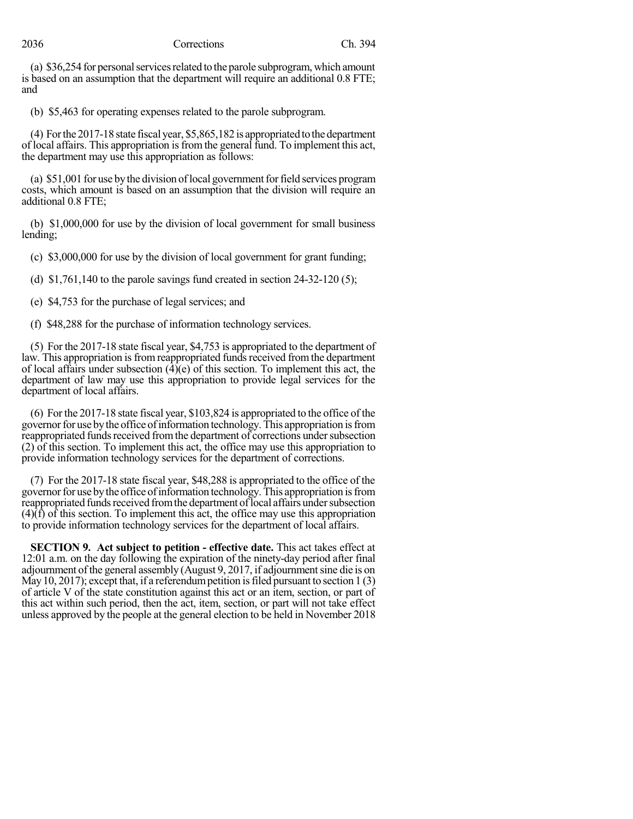# 2036 Corrections Ch. 394

(a) \$36,254 for personal services related to the parole subprogram, which amount is based on an assumption that the department will require an additional 0.8 FTE; and

(b) \$5,463 for operating expenses related to the parole subprogram.

(4) Forthe 2017-18 state fiscal year, \$5,865,182 is appropriated tothedepartment of local affairs. This appropriation isfrom the general fund. To implement this act, the department may use this appropriation as follows:

(a) \$51,001 for use by the division of local government for field services program costs, which amount is based on an assumption that the division will require an additional 0.8 FTE;

(b) \$1,000,000 for use by the division of local government for small business lending;

(c) \$3,000,000 for use by the division of local government for grant funding;

(d)  $$1,761,140$  to the parole savings fund created in section 24-32-120 (5);

(e) \$4,753 for the purchase of legal services; and

(f) \$48,288 for the purchase of information technology services.

(5) For the 2017-18 state fiscal year, \$4,753 is appropriated to the department of law. This appropriation is from reappropriated funds received from the department of local affairs under subsection  $(\hat{4})(e)$  of this section. To implement this act, the department of law may use this appropriation to provide legal services for the department of local affairs.

(6) For the 2017-18 state fiscal year, \$103,824 is appropriated to the office of the governor for use by the office of information technology. This appropriation is from reappropriated funds received from the department of corrections under subsection (2) of this section. To implement this act, the office may use this appropriation to provide information technology services for the department of corrections.

(7) For the 2017-18 state fiscal year, \$48,288 is appropriated to the office of the governor for use by the office of information technology. This appropriation is from reappropriated funds received from the department of local affairs under subsection  $(4)(f)$  of this section. To implement this act, the office may use this appropriation to provide information technology services for the department of local affairs.

**SECTION 9. Act subject to petition - effective date.** This act takes effect at 12:01 a.m. on the day following the expiration of the ninety-day period after final adjournment ofthe general assembly (August 9, 2017, if adjournmentsine die is on May 10, 2017); except that, if a referendum petition is filed pursuant to section 1  $(3)$ of article V of the state constitution against this act or an item, section, or part of this act within such period, then the act, item, section, or part will not take effect unless approved by the people at the general election to be held in November 2018